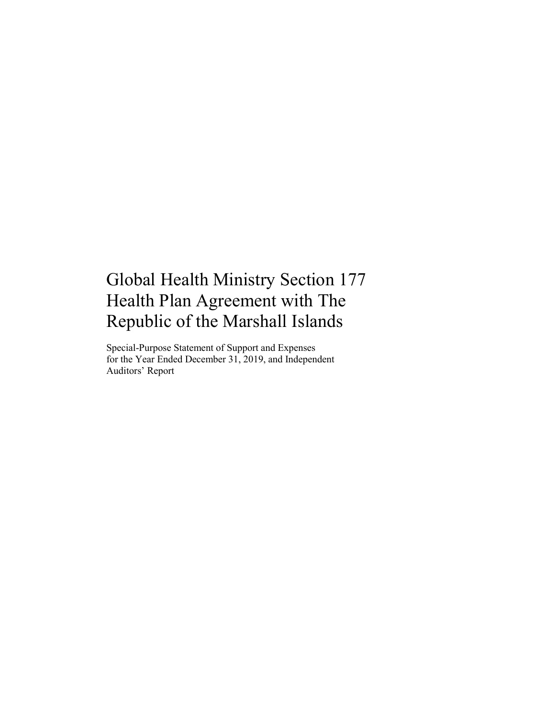# Global Health Ministry Section 177 Health Plan Agreement with The Republic of the Marshall Islands

Special-Purpose Statement of Support and Expenses for the Year Ended December 31, 2019, and Independent Auditors' Report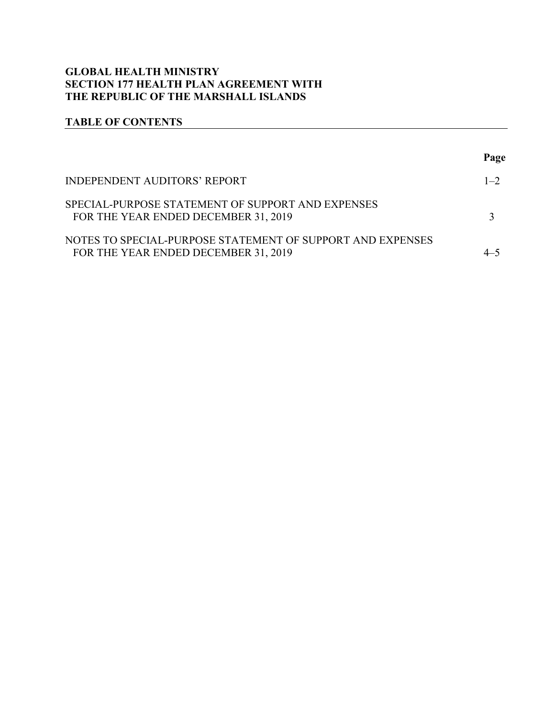# **GLOBAL HEALTH MINISTRY SECTION 177 HEALTH PLAN AGREEMENT WITH THE REPUBLIC OF THE MARSHALL ISLANDS**

# **TABLE OF CONTENTS**

|                                                                                                    | Page    |
|----------------------------------------------------------------------------------------------------|---------|
| <b>INDEPENDENT AUDITORS' REPORT</b>                                                                | $1 - 2$ |
| SPECIAL-PURPOSE STATEMENT OF SUPPORT AND EXPENSES<br>FOR THE YEAR ENDED DECEMBER 31, 2019          |         |
| NOTES TO SPECIAL-PURPOSE STATEMENT OF SUPPORT AND EXPENSES<br>FOR THE YEAR ENDED DECEMBER 31, 2019 |         |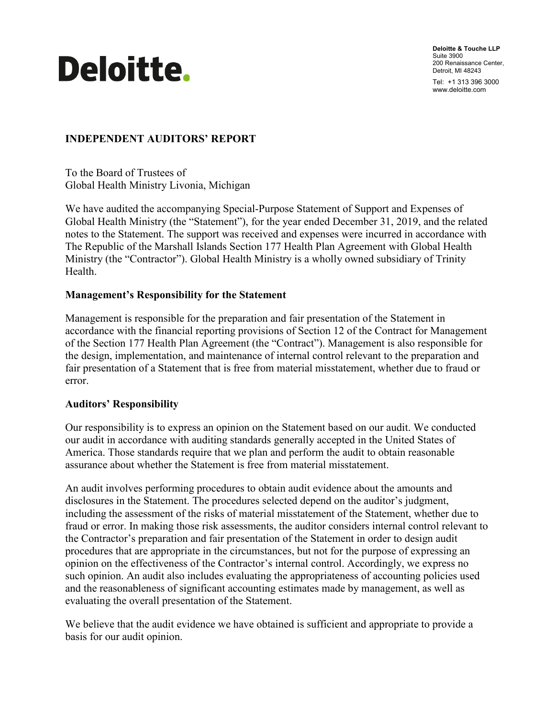

**Deloitte & Touche LLP** Suite 3900 200 Renaissance Center, Detroit, MI 48243 Tel: +1 313 396 3000 www.deloitte.com

# <span id="page-2-0"></span>**INDEPENDENT AUDITORS' REPORT**

To the Board of Trustees of Global Health Ministry Livonia, Michigan

We have audited the accompanying Special-Purpose Statement of Support and Expenses of Global Health Ministry (the "Statement"), for the year ended December 31, 2019, and the related notes to the Statement. The support was received and expenses were incurred in accordance with The Republic of the Marshall Islands Section 177 Health Plan Agreement with Global Health Ministry (the "Contractor"). Global Health Ministry is a wholly owned subsidiary of Trinity Health.

#### **Management's Responsibility for the Statement**

Management is responsible for the preparation and fair presentation of the Statement in accordance with the financial reporting provisions of Section 12 of the Contract for Management of the Section 177 Health Plan Agreement (the "Contract"). Management is also responsible for the design, implementation, and maintenance of internal control relevant to the preparation and fair presentation of a Statement that is free from material misstatement, whether due to fraud or error.

#### **Auditors' Responsibility**

Our responsibility is to express an opinion on the Statement based on our audit. We conducted our audit in accordance with auditing standards generally accepted in the United States of America. Those standards require that we plan and perform the audit to obtain reasonable assurance about whether the Statement is free from material misstatement.

An audit involves performing procedures to obtain audit evidence about the amounts and disclosures in the Statement. The procedures selected depend on the auditor's judgment, including the assessment of the risks of material misstatement of the Statement, whether due to fraud or error. In making those risk assessments, the auditor considers internal control relevant to the Contractor's preparation and fair presentation of the Statement in order to design audit procedures that are appropriate in the circumstances, but not for the purpose of expressing an opinion on the effectiveness of the Contractor's internal control. Accordingly, we express no such opinion. An audit also includes evaluating the appropriateness of accounting policies used and the reasonableness of significant accounting estimates made by management, as well as evaluating the overall presentation of the Statement.

We believe that the audit evidence we have obtained is sufficient and appropriate to provide a basis for our audit opinion.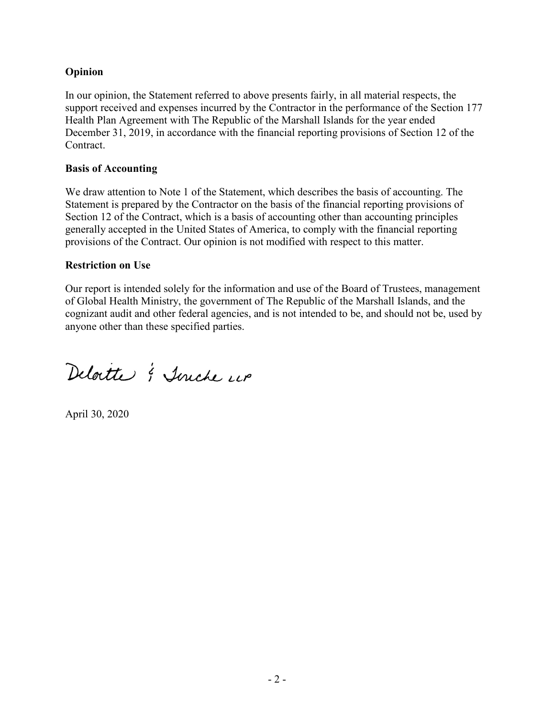# **Opinion**

In our opinion, the Statement referred to above presents fairly, in all material respects, the support received and expenses incurred by the Contractor in the performance of the Section 177 Health Plan Agreement with The Republic of the Marshall Islands for the year ended December 31, 2019, in accordance with the financial reporting provisions of Section 12 of the Contract.

#### **Basis of Accounting**

We draw attention to Note 1 of the Statement, which describes the basis of accounting. The Statement is prepared by the Contractor on the basis of the financial reporting provisions of Section 12 of the Contract, which is a basis of accounting other than accounting principles generally accepted in the United States of America, to comply with the financial reporting provisions of the Contract. Our opinion is not modified with respect to this matter.

#### **Restriction on Use**

Our report is intended solely for the information and use of the Board of Trustees, management of Global Health Ministry, the government of The Republic of the Marshall Islands, and the cognizant audit and other federal agencies, and is not intended to be, and should not be, used by anyone other than these specified parties.

Deloitte & Turche un

April 30, 2020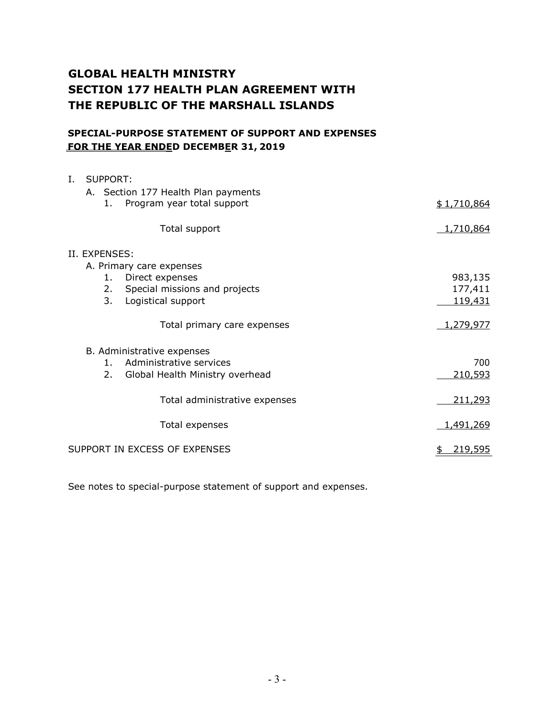# **GLOBAL HEALTH MINISTRY SECTION 177 HEALTH PLAN AGREEMENT WITH THE REPUBLIC OF THE MARSHALL ISLANDS**

#### **SPECIAL-PURPOSE STATEMENT OF SUPPORT AND EXPENSES FOR THE YEAR ENDED DECEMBER 31, 2019**

| I. |                               | <b>SUPPORT:</b> |                                     |             |  |
|----|-------------------------------|-----------------|-------------------------------------|-------------|--|
|    |                               |                 | A. Section 177 Health Plan payments |             |  |
|    |                               | 1.              | Program year total support          | \$1,710,864 |  |
|    |                               |                 | Total support                       | 1,710,864   |  |
|    |                               | II. EXPENSES:   |                                     |             |  |
|    |                               |                 | A. Primary care expenses            |             |  |
|    |                               | 1.              | Direct expenses                     | 983,135     |  |
|    |                               | 2.              | Special missions and projects       | 177,411     |  |
|    |                               | 3.              | Logistical support                  | 119,431     |  |
|    |                               |                 | Total primary care expenses         | 1,279,977   |  |
|    |                               |                 | B. Administrative expenses          |             |  |
|    |                               | $1_{-}$         | Administrative services             | 700         |  |
|    |                               | 2.              | Global Health Ministry overhead     | 210,593     |  |
|    |                               |                 | Total administrative expenses       | 211,293     |  |
|    |                               |                 | Total expenses                      | 1,491,269   |  |
|    | SUPPORT IN EXCESS OF EXPENSES |                 |                                     |             |  |

See notes to special-purpose statement of support and expenses.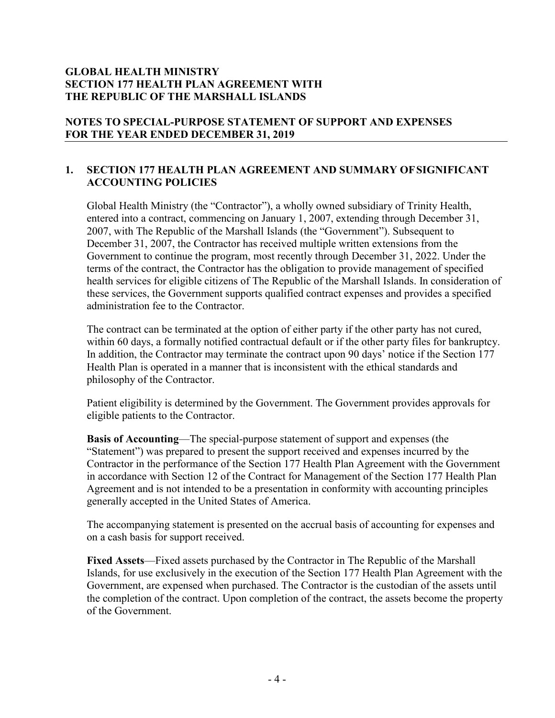# **GLOBAL HEALTH MINISTRY SECTION 177 HEALTH PLAN AGREEMENT WITH THE REPUBLIC OF THE MARSHALL ISLANDS**

# **NOTES TO SPECIAL-PURPOSE STATEMENT OF SUPPORT AND EXPENSES FOR THE YEAR ENDED DECEMBER 31, 2019**

# **1. SECTION 177 HEALTH PLAN AGREEMENT AND SUMMARY OFSIGNIFICANT ACCOUNTING POLICIES**

Global Health Ministry (the "Contractor"), a wholly owned subsidiary of Trinity Health, entered into a contract, commencing on January 1, 2007, extending through December 31, 2007, with The Republic of the Marshall Islands (the "Government"). Subsequent to December 31, 2007, the Contractor has received multiple written extensions from the Government to continue the program, most recently through December 31, 2022. Under the terms of the contract, the Contractor has the obligation to provide management of specified health services for eligible citizens of The Republic of the Marshall Islands. In consideration of these services, the Government supports qualified contract expenses and provides a specified administration fee to the Contractor.

The contract can be terminated at the option of either party if the other party has not cured, within 60 days, a formally notified contractual default or if the other party files for bankruptcy. In addition, the Contractor may terminate the contract upon 90 days' notice if the Section 177 Health Plan is operated in a manner that is inconsistent with the ethical standards and philosophy of the Contractor.

Patient eligibility is determined by the Government. The Government provides approvals for eligible patients to the Contractor.

**Basis of Accounting**—The special-purpose statement of support and expenses (the "Statement") was prepared to present the support received and expenses incurred by the Contractor in the performance of the Section 177 Health Plan Agreement with the Government in accordance with Section 12 of the Contract for Management of the Section 177 Health Plan Agreement and is not intended to be a presentation in conformity with accounting principles generally accepted in the United States of America.

The accompanying statement is presented on the accrual basis of accounting for expenses and on a cash basis for support received.

**Fixed Assets**—Fixed assets purchased by the Contractor in The Republic of the Marshall Islands, for use exclusively in the execution of the Section 177 Health Plan Agreement with the Government, are expensed when purchased. The Contractor is the custodian of the assets until the completion of the contract. Upon completion of the contract, the assets become the property of the Government.